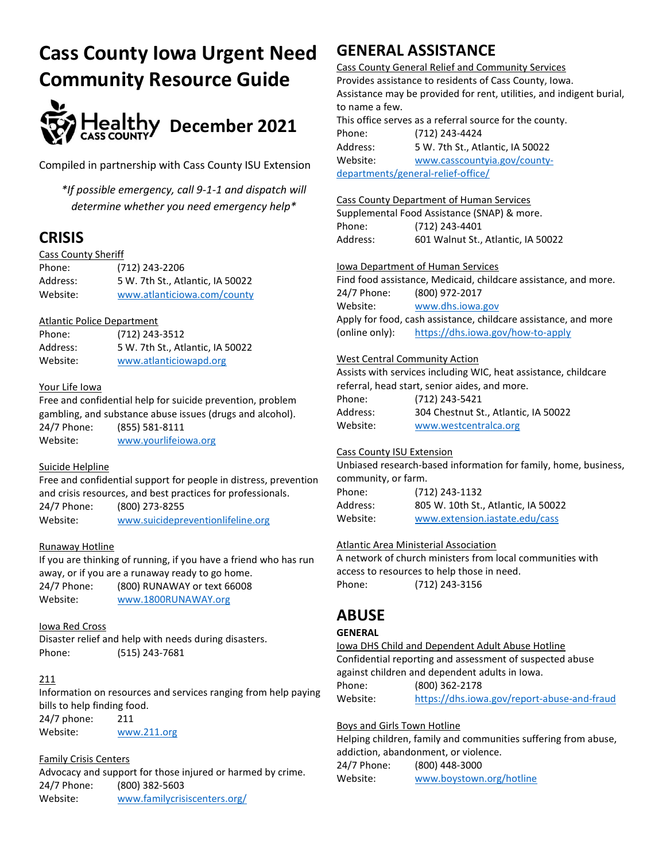# Cass County Iowa Urgent Need Community Resource Guide



Compiled in partnership with Cass County ISU Extension

\*If possible emergency, call 9-1-1 and dispatch will determine whether you need emergency help\*

# **CRISIS**

## Cass County Sheriff

Phone: (712) 243-2206 Address: 5 W. 7th St., Atlantic, IA 50022 Website: www.atlanticiowa.com/county

# Atlantic Police Department

| Phone:   | (712) 243-3512                   |
|----------|----------------------------------|
| Address: | 5 W. 7th St., Atlantic, IA 50022 |
| Website: | www.atlanticiowapd.org           |

# Your Life Iowa

Free and confidential help for suicide prevention, problem gambling, and substance abuse issues (drugs and alcohol). 24/7 Phone: (855) 581-8111 Website: www.yourlifeiowa.org

## Suicide Helpline

Free and confidential support for people in distress, prevention and crisis resources, and best practices for professionals.

24/7 Phone: (800) 273-8255 Website: www.suicidepreventionlifeline.org

# Runaway Hotline

If you are thinking of running, if you have a friend who has run away, or if you are a runaway ready to go home. 24/7 Phone: (800) RUNAWAY or text 66008 Website: www.1800RUNAWAY.org

# Iowa Red Cross

Disaster relief and help with needs during disasters. Phone: (515) 243-7681

# 211

Information on resources and services ranging from help paying bills to help finding food.

24/7 phone: 211 Website: www.211.org

# Family Crisis Centers

Advocacy and support for those injured or harmed by crime. 24/7 Phone: (800) 382-5603 Website: www.familycrisiscenters.org/

# GENERAL ASSISTANCE

Cass County General Relief and Community Services Provides assistance to residents of Cass County, Iowa. Assistance may be provided for rent, utilities, and indigent burial, to name a few. This office serves as a referral source for the county.

Phone: (712) 243-4424 Address: 5 W. 7th St., Atlantic, IA 50022 Website: www.casscountyia.gov/countydepartments/general-relief-office/

# Cass County Department of Human Services

Supplemental Food Assistance (SNAP) & more. Phone: (712) 243-4401 Address: 601 Walnut St., Atlantic, IA 50022

# Iowa Department of Human Services

Find food assistance, Medicaid, childcare assistance, and more. 24/7 Phone: (800) 972-2017 Website: www.dhs.iowa.gov Apply for food, cash assistance, childcare assistance, and more (online only): https://dhs.iowa.gov/how-to-apply

# West Central Community Action

Assists with services including WIC, heat assistance, childcare referral, head start, senior aides, and more. Phone: (712) 243-5421

| Address: | 304 Chestnut St., Atlantic, IA 50022 |
|----------|--------------------------------------|
| Website: | www.westcentralca.org                |

## Cass County ISU Extension

Unbiased research-based information for family, home, business, community, or farm.

Phone: (712) 243-1132 Address: 805 W. 10th St., Atlantic, IA 50022 Website: www.extension.iastate.edu/cass

## Atlantic Area Ministerial Association

A network of church ministers from local communities with access to resources to help those in need. Phone: (712) 243-3156

# ABUSE

## **GENERAL**

Iowa DHS Child and Dependent Adult Abuse Hotline Confidential reporting and assessment of suspected abuse against children and dependent adults in Iowa. Phone: (800) 362-2178 Website: https://dhs.iowa.gov/report-abuse-and-fraud

## Boys and Girls Town Hotline

Helping children, family and communities suffering from abuse, addiction, abandonment, or violence. 24/7 Phone: (800) 448-3000 Website: www.boystown.org/hotline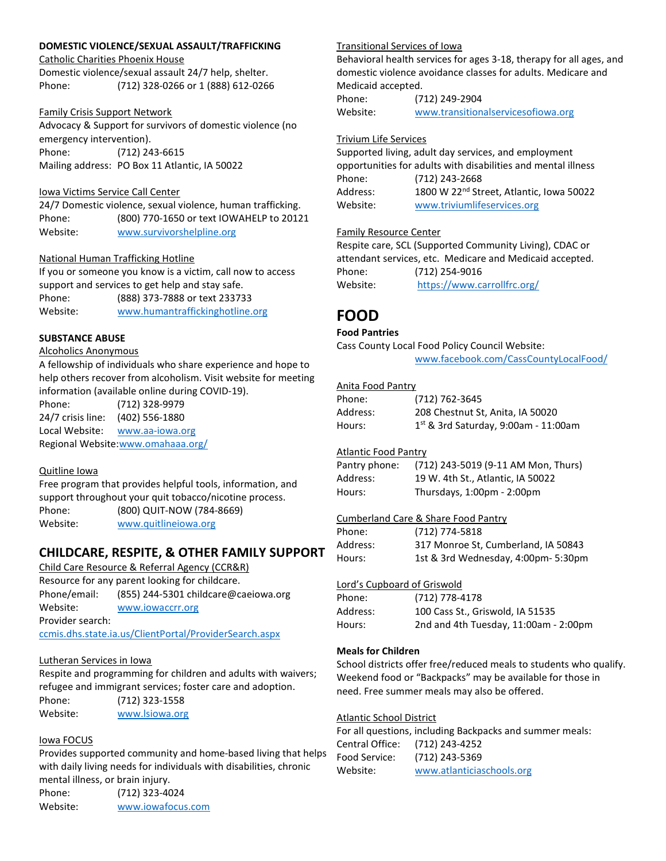#### DOMESTIC VIOLENCE/SEXUAL ASSAULT/TRAFFICKING

Catholic Charities Phoenix House

Domestic violence/sexual assault 24/7 help, shelter. Phone: (712) 328-0266 or 1 (888) 612-0266

#### Family Crisis Support Network

Advocacy & Support for survivors of domestic violence (no emergency intervention). Phone: (712) 243-6615 Mailing address: PO Box 11 Atlantic, IA 50022

#### Iowa Victims Service Call Center

24/7 Domestic violence, sexual violence, human trafficking. Phone: (800) 770-1650 or text IOWAHELP to 20121 Website: www.survivorshelpline.org

#### National Human Trafficking Hotline

If you or someone you know is a victim, call now to access support and services to get help and stay safe. Phone: (888) 373-7888 or text 233733 Website: www.humantraffickinghotline.org

#### SUBSTANCE ABUSE

#### Alcoholics Anonymous

A fellowship of individuals who share experience and hope to help others recover from alcoholism. Visit website for meeting information (available online during COVID-19).

Phone: (712) 328-9979 24/7 crisis line: (402) 556-1880 Local Website: www.aa-iowa.org Regional Website:www.omahaaa.org/

#### Quitline Iowa

Free program that provides helpful tools, information, and support throughout your quit tobacco/nicotine process. Phone: (800) QUIT-NOW (784-8669) Website: www.quitlineiowa.org

# CHILDCARE, RESPITE, & OTHER FAMILY SUPPORT

Child Care Resource & Referral Agency (CCR&R) Resource for any parent looking for childcare.

Phone/email: (855) 244-5301 childcare@caeiowa.org Website: www.iowaccrr.org Provider search:

ccmis.dhs.state.ia.us/ClientPortal/ProviderSearch.aspx

#### Lutheran Services in Iowa

Respite and programming for children and adults with waivers; refugee and immigrant services; foster care and adoption.

Phone: (712) 323-1558

Website: www.lsiowa.org

#### Iowa FOCUS

Provides supported community and home-based living that helps with daily living needs for individuals with disabilities, chronic mental illness, or brain injury.

Phone: (712) 323-4024 Website: www.iowafocus.com

#### Transitional Services of Iowa

Behavioral health services for ages 3-18, therapy for all ages, and domestic violence avoidance classes for adults. Medicare and Medicaid accepted.

Phone: (712) 249-2904 Website: www.transitionalservicesofiowa.org

#### Trivium Life Services

Supported living, adult day services, and employment opportunities for adults with disabilities and mental illness Phone: (712) 243-2668 Address: 1800 W 22<sup>nd</sup> Street, Atlantic, Iowa 50022 Website: www.triviumlifeservices.org

#### Family Resource Center

Respite care, SCL (Supported Community Living), CDAC or attendant services, etc. Medicare and Medicaid accepted. Phone: (712) 254-9016 Website: https://www.carrollfrc.org/

# FOOD

#### Food Pantries

Cass County Local Food Policy Council Website: www.facebook.com/CassCountyLocalFood/

#### Anita Food Pantry

| Phone:   | (712) 762-3645                         |
|----------|----------------------------------------|
| Address: | 208 Chestnut St, Anita, IA 50020       |
| Hours:   | $1st$ & 3rd Saturday, 9:00am - 11:00am |

#### Atlantic Food Pantry

| Pantry phone: | (712) 243-5019 (9-11 AM Mon, Thurs) |
|---------------|-------------------------------------|
| Address:      | 19 W. 4th St., Atlantic, IA 50022   |
| Hours:        | Thursdays, 1:00pm - 2:00pm          |

#### Cumberland Care & Share Food Pantry

| Phone:   | (712) 774-5818                      |
|----------|-------------------------------------|
| Address: | 317 Monroe St. Cumberland, IA 50843 |
| Hours:   | 1st & 3rd Wednesday, 4:00pm- 5:30pm |

#### Lord's Cupboard of Griswold

| Phone:   | (712) 778-4178                              |
|----------|---------------------------------------------|
| Address: | 100 Cass St., Griswold, IA 51535            |
| Hours:   | 2nd and 4th Tuesday, $11:00$ am - $2:00$ pm |

#### Meals for Children

School districts offer free/reduced meals to students who qualify. Weekend food or "Backpacks" may be available for those in need. Free summer meals may also be offered.

#### Atlantic School District

For all questions, including Backpacks and summer meals: Central Office: (712) 243-4252 Food Service: (712) 243-5369 Website: www.atlanticiaschools.org

| urs: | 1st & 3rd Wednesday, 4:00pm- 5:30 |
|------|-----------------------------------|
|      |                                   |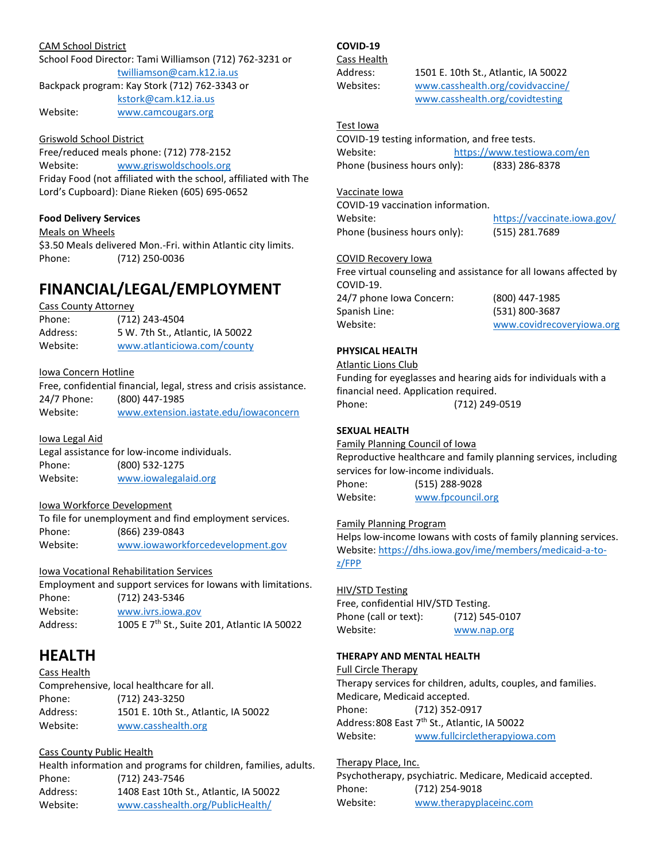#### CAM School District

School Food Director: Tami Williamson (712) 762-3231 or twilliamson@cam.k12.ia.us Backpack program: Kay Stork (712) 762-3343 or kstork@cam.k12.ia.us Website: www.camcougars.org

#### Griswold School District

Free/reduced meals phone: (712) 778-2152 Website: www.griswoldschools.org Friday Food (not affiliated with the school, affiliated with The Lord's Cupboard): Diane Rieken (605) 695-0652

#### Food Delivery Services

Meals on Wheels

\$3.50 Meals delivered Mon.-Fri. within Atlantic city limits. Phone: (712) 250-0036

# FINANCIAL/LEGAL/EMPLOYMENT

#### Cass County Attorney

| Phone:   | (712) 243-4504                   |
|----------|----------------------------------|
| Address: | 5 W. 7th St., Atlantic, IA 50022 |
| Website: | www.atlanticiowa.com/county      |

#### Iowa Concern Hotline

Free, confidential financial, legal, stress and crisis assistance. 24/7 Phone: (800) 447-1985 Website: www.extension.iastate.edu/iowaconcern

#### Iowa Legal Aid

Legal assistance for low-income individuals. Phone: (800) 532-1275 Website: www.iowalegalaid.org

#### Iowa Workforce Development

To file for unemployment and find employment services. Phone: (866) 239-0843 Website: www.iowaworkforcedevelopment.gov

## Iowa Vocational Rehabilitation Services

|          | Employment and support services for Iowans with limitations. |
|----------|--------------------------------------------------------------|
| Phone:   | (712) 243-5346                                               |
| Website: | www.jvrs.jowa.gov                                            |
| Address: | 1005 E 7 <sup>th</sup> St., Suite 201, Atlantic IA 50022     |

# HEALTH

# Cass Health Comprehensive, local healthcare for all. Phone: (712) 243-3250 Address: 1501 E. 10th St., Atlantic, IA 50022 Website: www.casshealth.org

# Cass County Public Health

Health information and programs for children, families, adults. Phone: (712) 243-7546 Address: 1408 East 10th St., Atlantic, IA 50022 Website: www.casshealth.org/PublicHealth/

# COVID-19

Cass Health

Address: 1501 E. 10th St., Atlantic, IA 50022 Websites: www.casshealth.org/covidvaccine/ www.casshealth.org/covidtesting

# Test Iowa

COVID-19 testing information, and free tests. Website: https://www.testiowa.com/en Phone (business hours only): (833) 286-8378

#### Vaccinate Iowa

COVID-19 vaccination information. Website: https://vaccinate.iowa.gov/ Phone (business hours only): (515) 281.7689

#### COVID Recovery Iowa

Free virtual counseling and assistance for all Iowans affected by COVID-19. 24/7 phone Iowa Concern: (800) 447-1985 Spanish Line: (531) 800-3687 Website: www.covidrecoveryiowa.org

#### PHYSICAL HEALTH

#### Atlantic Lions Club

Funding for eyeglasses and hearing aids for individuals with a financial need. Application required. Phone: (712) 249-0519

# SEXUAL HEALTH

Family Planning Council of Iowa Reproductive healthcare and family planning services, including services for low-income individuals. Phone: (515) 288-9028 Website: www.fpcouncil.org

#### Family Planning Program

Helps low-income Iowans with costs of family planning services. Website: https://dhs.iowa.gov/ime/members/medicaid-a-toz/FPP

#### HIV/STD Testing

Free, confidential HIV/STD Testing. Phone (call or text): (712) 545-0107 Website: www.nap.org

# THERAPY AND MENTAL HEALTH

#### Full Circle Therapy

Therapy services for children, adults, couples, and families. Medicare, Medicaid accepted. Phone: (712) 352-0917 Address: 808 East 7<sup>th</sup> St., Atlantic, IA 50022 Website: www.fullcircletherapyiowa.com

#### Therapy Place, Inc.

Psychotherapy, psychiatric. Medicare, Medicaid accepted. Phone: (712) 254-9018 Website: www.therapyplaceinc.com